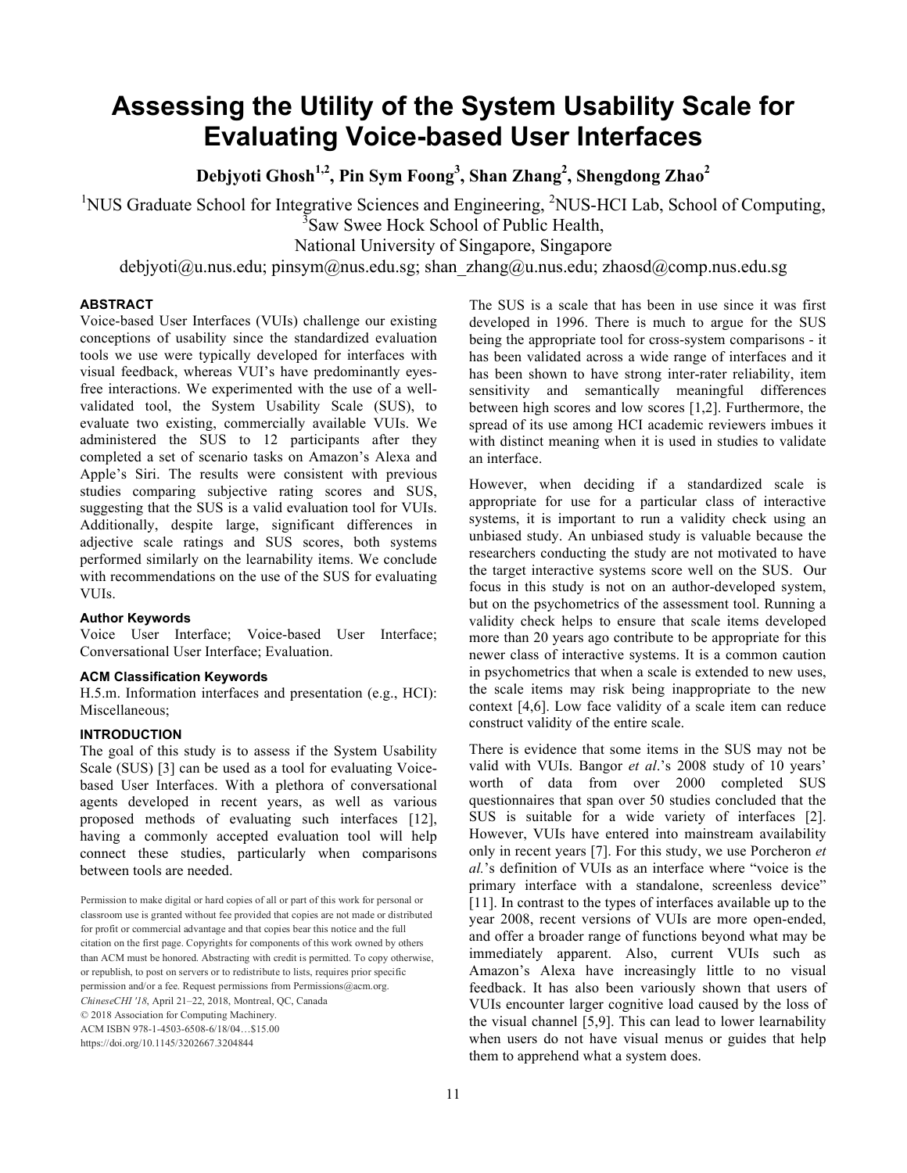# **Assessing the Utility of the System Usability Scale for Evaluating Voice-based User Interfaces**

**Debjyoti Ghosh1,2, Pin Sym Foong3 , Shan Zhang<sup>2</sup> , Shengdong Zhao<sup>2</sup>**

<sup>1</sup>NUS Graduate School for Integrative Sciences and Engineering, <sup>2</sup>NUS-HCI Lab, School of Computing,

<sup>3</sup>Saw Swee Hock School of Public Health,

National University of Singapore, Singapore

debjyoti@u.nus.edu; pinsym@nus.edu.sg; shan\_zhang@u.nus.edu; zhaosd@comp.nus.edu.sg

## **ABSTRACT**

Voice-based User Interfaces (VUIs) challenge our existing conceptions of usability since the standardized evaluation tools we use were typically developed for interfaces with visual feedback, whereas VUI's have predominantly eyesfree interactions. We experimented with the use of a wellvalidated tool, the System Usability Scale (SUS), to evaluate two existing, commercially available VUIs. We administered the SUS to 12 participants after they completed a set of scenario tasks on Amazon's Alexa and Apple's Siri. The results were consistent with previous studies comparing subjective rating scores and SUS, suggesting that the SUS is a valid evaluation tool for VUIs. Additionally, despite large, significant differences in adjective scale ratings and SUS scores, both systems performed similarly on the learnability items. We conclude with recommendations on the use of the SUS for evaluating VUIs.

# **Author Keywords**

Voice User Interface; Voice-based User Interface; Conversational User Interface; Evaluation.

### **ACM Classification Keywords**

H.5.m. Information interfaces and presentation (e.g., HCI): Miscellaneous;

# **INTRODUCTION**

The goal of this study is to assess if the System Usability Scale (SUS) [3] can be used as a tool for evaluating Voicebased User Interfaces. With a plethora of conversational agents developed in recent years, as well as various proposed methods of evaluating such interfaces [12], having a commonly accepted evaluation tool will help connect these studies, particularly when comparisons between tools are needed.

Permission to make digital or hard copies of all or part of this work for personal or classroom use is granted without fee provided that copies are not made or distributed for profit or commercial advantage and that copies bear this notice and the full citation on the first page. Copyrights for components of this work owned by others than ACM must be honored. Abstracting with credit is permitted. To copy otherwise, or republish, to post on servers or to redistribute to lists, requires prior specific permission and/or a fee. Request permissions from Permissions@acm.org. *ChineseCHI '18*, April 21–22, 2018, Montreal, QC, Canada © 2018 Association for Computing Machinery. ACM ISBN 978-1-4503-6508-6/18/04…\$15.00 https://doi.org/10.1145/3202667.3204844

The SUS is a scale that has been in use since it was first developed in 1996. There is much to argue for the SUS being the appropriate tool for cross-system comparisons - it has been validated across a wide range of interfaces and it has been shown to have strong inter-rater reliability, item sensitivity and semantically meaningful differences between high scores and low scores [1,2]. Furthermore, the spread of its use among HCI academic reviewers imbues it with distinct meaning when it is used in studies to validate an interface.

However, when deciding if a standardized scale is appropriate for use for a particular class of interactive systems, it is important to run a validity check using an unbiased study. An unbiased study is valuable because the researchers conducting the study are not motivated to have the target interactive systems score well on the SUS. Our focus in this study is not on an author-developed system, but on the psychometrics of the assessment tool. Running a validity check helps to ensure that scale items developed more than 20 years ago contribute to be appropriate for this newer class of interactive systems. It is a common caution in psychometrics that when a scale is extended to new uses, the scale items may risk being inappropriate to the new context [4,6]. Low face validity of a scale item can reduce construct validity of the entire scale.

There is evidence that some items in the SUS may not be valid with VUIs. Bangor *et al*.'s 2008 study of 10 years' worth of data from over 2000 completed SUS questionnaires that span over 50 studies concluded that the SUS is suitable for a wide variety of interfaces [2]. However, VUIs have entered into mainstream availability only in recent years [7]. For this study, we use Porcheron *et al.*'s definition of VUIs as an interface where "voice is the primary interface with a standalone, screenless device" [11]. In contrast to the types of interfaces available up to the year 2008, recent versions of VUIs are more open-ended, and offer a broader range of functions beyond what may be immediately apparent. Also, current VUIs such as Amazon's Alexa have increasingly little to no visual feedback. It has also been variously shown that users of VUIs encounter larger cognitive load caused by the loss of the visual channel [5,9]. This can lead to lower learnability when users do not have visual menus or guides that help them to apprehend what a system does.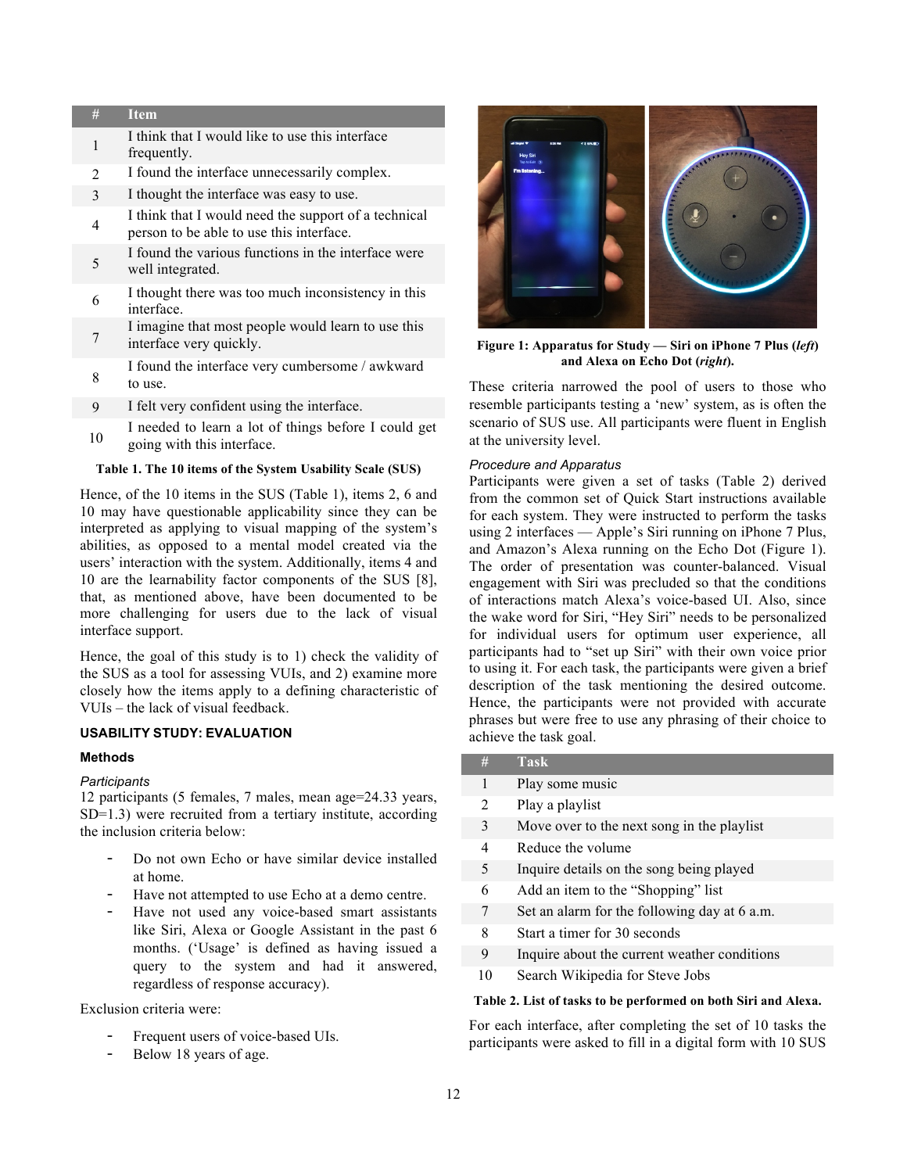| #              | <b>Item</b>                                                                                      |
|----------------|--------------------------------------------------------------------------------------------------|
| 1              | I think that I would like to use this interface<br>frequently.                                   |
| $\mathfrak{D}$ | I found the interface unnecessarily complex.                                                     |
| 3              | I thought the interface was easy to use.                                                         |
| 4              | I think that I would need the support of a technical<br>person to be able to use this interface. |
| 5              | I found the various functions in the interface were<br>well integrated.                          |
|                |                                                                                                  |

- <sup>6</sup> I thought there was too much inconsistency in this interface.
- $\frac{7}{7}$  I imagine that most people would learn to use this interface very quickly.
- <sup>8</sup> I found the interface very cumbersome / awkward to use.
- 9 I felt very confident using the interface.
- 10 I needed to learn a lot of things before I could get going with this interface.

### **Table 1. The 10 items of the System Usability Scale (SUS)**

Hence, of the 10 items in the SUS (Table 1), items 2, 6 and 10 may have questionable applicability since they can be interpreted as applying to visual mapping of the system's abilities, as opposed to a mental model created via the users' interaction with the system. Additionally, items 4 and 10 are the learnability factor components of the SUS [8], that, as mentioned above, have been documented to be more challenging for users due to the lack of visual interface support.

Hence, the goal of this study is to 1) check the validity of the SUS as a tool for assessing VUIs, and 2) examine more closely how the items apply to a defining characteristic of VUIs – the lack of visual feedback.

## **USABILITY STUDY: EVALUATION**

#### **Methods**

### *Participants*

12 participants (5 females, 7 males, mean age=24.33 years, SD=1.3) were recruited from a tertiary institute, according the inclusion criteria below:

- Do not own Echo or have similar device installed at home.
- Have not attempted to use Echo at a demo centre.
- Have not used any voice-based smart assistants like Siri, Alexa or Google Assistant in the past 6 months. ('Usage' is defined as having issued a query to the system and had it answered, regardless of response accuracy).

Exclusion criteria were:

- Frequent users of voice-based UIs.
- Below 18 years of age.



**Figure 1: Apparatus for Study — Siri on iPhone 7 Plus (***left***) and Alexa on Echo Dot (***right***).**

These criteria narrowed the pool of users to those who resemble participants testing a 'new' system, as is often the scenario of SUS use. All participants were fluent in English at the university level.

### *Procedure and Apparatus*

Participants were given a set of tasks (Table 2) derived from the common set of Quick Start instructions available for each system. They were instructed to perform the tasks using 2 interfaces — Apple's Siri running on iPhone 7 Plus, and Amazon's Alexa running on the Echo Dot (Figure 1). The order of presentation was counter-balanced. Visual engagement with Siri was precluded so that the conditions of interactions match Alexa's voice-based UI. Also, since the wake word for Siri, "Hey Siri" needs to be personalized for individual users for optimum user experience, all participants had to "set up Siri" with their own voice prior to using it. For each task, the participants were given a brief description of the task mentioning the desired outcome. Hence, the participants were not provided with accurate phrases but were free to use any phrasing of their choice to achieve the task goal.

| #                               | <b>Task</b>                                  |  |
|---------------------------------|----------------------------------------------|--|
| 1                               | Play some music                              |  |
| 2                               | Play a playlist                              |  |
| 3                               | Move over to the next song in the playlist   |  |
| 4                               | Reduce the volume                            |  |
| 5                               | Inquire details on the song being played     |  |
| 6                               | Add an item to the "Shopping" list           |  |
| 7                               | Set an alarm for the following day at 6 a.m. |  |
| 8                               | Start a timer for 30 seconds                 |  |
| 9                               | Inquire about the current weather conditions |  |
| 10                              | Search Wikipedia for Steve Jobs              |  |
| $\mathbf{r}$ , and $\mathbf{r}$ |                                              |  |

#### **Table 2. List of tasks to be performed on both Siri and Alexa.**

For each interface, after completing the set of 10 tasks the participants were asked to fill in a digital form with 10 SUS

L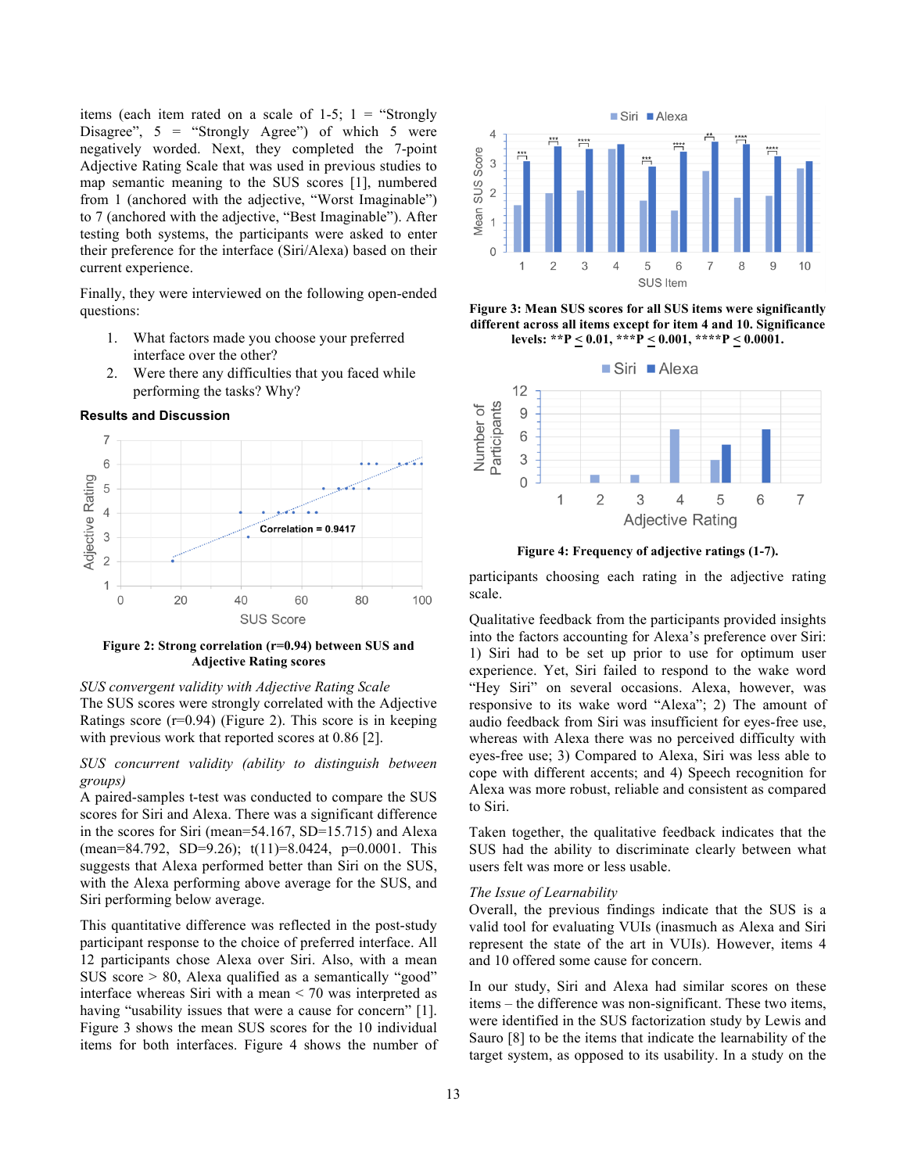items (each item rated on a scale of  $1-5$ ;  $1 =$  "Strongly Disagree",  $5 =$  "Strongly Agree") of which  $5$  were negatively worded. Next, they completed the 7-point Adjective Rating Scale that was used in previous studies to map semantic meaning to the SUS scores [1], numbered from 1 (anchored with the adjective, "Worst Imaginable") to 7 (anchored with the adjective, "Best Imaginable"). After testing both systems, the participants were asked to enter their preference for the interface (Siri/Alexa) based on their current experience.

Finally, they were interviewed on the following open-ended questions:

- 1. What factors made you choose your preferred interface over the other?
- 2. Were there any difficulties that you faced while performing the tasks? Why?



**Results and Discussion**



**Figure 2: Strong correlation (r=0.94) between SUS and Adjective Rating scores**

*SUS convergent validity with Adjective Rating Scale* The SUS scores were strongly correlated with the Adjective Ratings score  $(r=0.94)$  (Figure 2). This score is in keeping with previous work that reported scores at 0.86 [2].

#### *SUS concurrent validity (ability to distinguish between groups)*

A paired-samples t-test was conducted to compare the SUS scores for Siri and Alexa. There was a significant difference in the scores for Siri (mean=54.167, SD=15.715) and Alexa (mean=84.792, SD=9.26); t(11)=8.0424, p=0.0001. This suggests that Alexa performed better than Siri on the SUS, with the Alexa performing above average for the SUS, and Siri performing below average.

This quantitative difference was reflected in the post-study participant response to the choice of preferred interface. All 12 participants chose Alexa over Siri. Also, with a mean SUS score > 80, Alexa qualified as a semantically "good" interface whereas Siri with a mean < 70 was interpreted as having "usability issues that were a cause for concern" [1]. Figure 3 shows the mean SUS scores for the 10 individual items for both interfaces. Figure 4 shows the number of



**Figure 3: Mean SUS scores for all SUS items were significantly different across all items except for item 4 and 10. Significance levels: \*\*P < 0.01, \*\*\*P < 0.001, \*\*\*\*P < 0.0001.**



**Figure 4: Frequency of adjective ratings (1-7).**

participants choosing each rating in the adjective rating scale.

Qualitative feedback from the participants provided insights into the factors accounting for Alexa's preference over Siri: 1) Siri had to be set up prior to use for optimum user experience. Yet, Siri failed to respond to the wake word "Hey Siri" on several occasions. Alexa, however, was responsive to its wake word "Alexa"; 2) The amount of audio feedback from Siri was insufficient for eyes-free use, whereas with Alexa there was no perceived difficulty with eyes-free use; 3) Compared to Alexa, Siri was less able to cope with different accents; and 4) Speech recognition for Alexa was more robust, reliable and consistent as compared to Siri.

Taken together, the qualitative feedback indicates that the SUS had the ability to discriminate clearly between what users felt was more or less usable.

### *The Issue of Learnability*

Overall, the previous findings indicate that the SUS is a valid tool for evaluating VUIs (inasmuch as Alexa and Siri represent the state of the art in VUIs). However, items 4 and 10 offered some cause for concern.

In our study, Siri and Alexa had similar scores on these items – the difference was non-significant. These two items, were identified in the SUS factorization study by Lewis and Sauro [8] to be the items that indicate the learnability of the target system, as opposed to its usability. In a study on the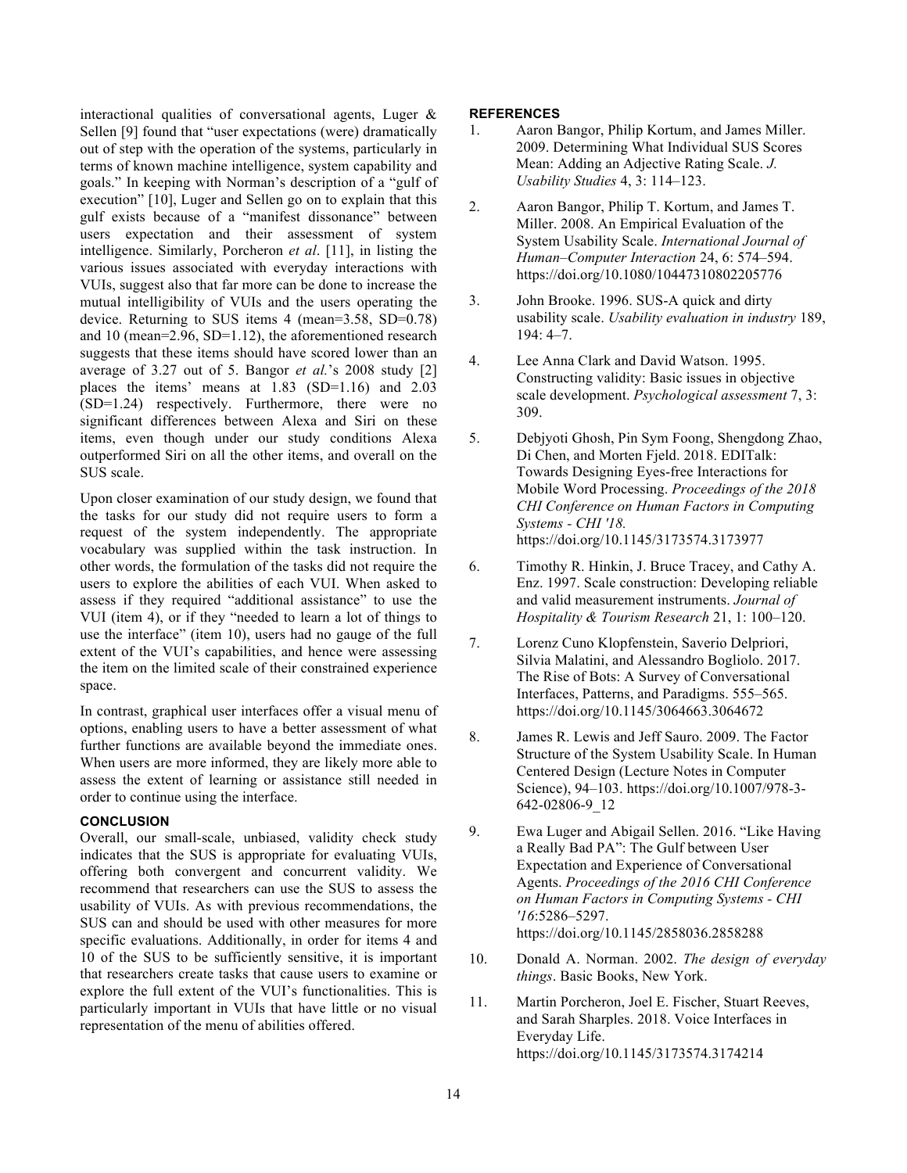interactional qualities of conversational agents, Luger & Sellen [9] found that "user expectations (were) dramatically out of step with the operation of the systems, particularly in terms of known machine intelligence, system capability and goals." In keeping with Norman's description of a "gulf of execution" [10], Luger and Sellen go on to explain that this gulf exists because of a "manifest dissonance" between users expectation and their assessment of system intelligence. Similarly, Porcheron *et al*. [11], in listing the various issues associated with everyday interactions with VUIs, suggest also that far more can be done to increase the mutual intelligibility of VUIs and the users operating the device. Returning to SUS items 4 (mean=3.58, SD=0.78) and 10 (mean=2.96, SD=1.12), the aforementioned research suggests that these items should have scored lower than an average of 3.27 out of 5. Bangor *et al.*'s 2008 study [2] places the items' means at  $1.83$  (SD=1.16) and  $2.03$ (SD=1.24) respectively. Furthermore, there were no significant differences between Alexa and Siri on these items, even though under our study conditions Alexa outperformed Siri on all the other items, and overall on the SUS scale.

Upon closer examination of our study design, we found that the tasks for our study did not require users to form a request of the system independently. The appropriate vocabulary was supplied within the task instruction. In other words, the formulation of the tasks did not require the users to explore the abilities of each VUI. When asked to assess if they required "additional assistance" to use the VUI (item 4), or if they "needed to learn a lot of things to use the interface" (item 10), users had no gauge of the full extent of the VUI's capabilities, and hence were assessing the item on the limited scale of their constrained experience space.

In contrast, graphical user interfaces offer a visual menu of options, enabling users to have a better assessment of what further functions are available beyond the immediate ones. When users are more informed, they are likely more able to assess the extent of learning or assistance still needed in order to continue using the interface.

## **CONCLUSION**

Overall, our small-scale, unbiased, validity check study indicates that the SUS is appropriate for evaluating VUIs, offering both convergent and concurrent validity. We recommend that researchers can use the SUS to assess the usability of VUIs. As with previous recommendations, the SUS can and should be used with other measures for more specific evaluations. Additionally, in order for items 4 and 10 of the SUS to be sufficiently sensitive, it is important that researchers create tasks that cause users to examine or explore the full extent of the VUI's functionalities. This is particularly important in VUIs that have little or no visual representation of the menu of abilities offered.

## **REFERENCES**

- 1. Aaron Bangor, Philip Kortum, and James Miller. 2009. Determining What Individual SUS Scores Mean: Adding an Adjective Rating Scale. *J. Usability Studies* 4, 3: 114–123.
- 2. Aaron Bangor, Philip T. Kortum, and James T. Miller. 2008. An Empirical Evaluation of the System Usability Scale. *International Journal of Human–Computer Interaction* 24, 6: 574–594. https://doi.org/10.1080/10447310802205776
- 3. John Brooke. 1996. SUS-A quick and dirty usability scale. *Usability evaluation in industry* 189, 194: 4–7.
- 4. Lee Anna Clark and David Watson. 1995. Constructing validity: Basic issues in objective scale development. *Psychological assessment* 7, 3: 309.
- 5. Debjyoti Ghosh, Pin Sym Foong, Shengdong Zhao, Di Chen, and Morten Fjeld. 2018. EDITalk: Towards Designing Eyes-free Interactions for Mobile Word Processing. *Proceedings of the 2018 CHI Conference on Human Factors in Computing Systems - CHI '18.*  https://doi.org/10.1145/3173574.3173977
- 6. Timothy R. Hinkin, J. Bruce Tracey, and Cathy A. Enz. 1997. Scale construction: Developing reliable and valid measurement instruments. *Journal of Hospitality & Tourism Research* 21, 1: 100–120.
- 7. Lorenz Cuno Klopfenstein, Saverio Delpriori, Silvia Malatini, and Alessandro Bogliolo. 2017. The Rise of Bots: A Survey of Conversational Interfaces, Patterns, and Paradigms. 555–565. https://doi.org/10.1145/3064663.3064672
- 8. James R. Lewis and Jeff Sauro. 2009. The Factor Structure of the System Usability Scale. In Human Centered Design (Lecture Notes in Computer Science), 94–103. https://doi.org/10.1007/978-3- 642-02806-9\_12
- 9. Ewa Luger and Abigail Sellen. 2016. "Like Having a Really Bad PA": The Gulf between User Expectation and Experience of Conversational Agents. *Proceedings of the 2016 CHI Conference on Human Factors in Computing Systems - CHI '16*:5286–5297. https://doi.org/10.1145/2858036.2858288
- 10. Donald A. Norman. 2002. *The design of everyday things*. Basic Books, New York.
- 11. Martin Porcheron, Joel E. Fischer, Stuart Reeves, and Sarah Sharples. 2018. Voice Interfaces in Everyday Life. https://doi.org/10.1145/3173574.3174214